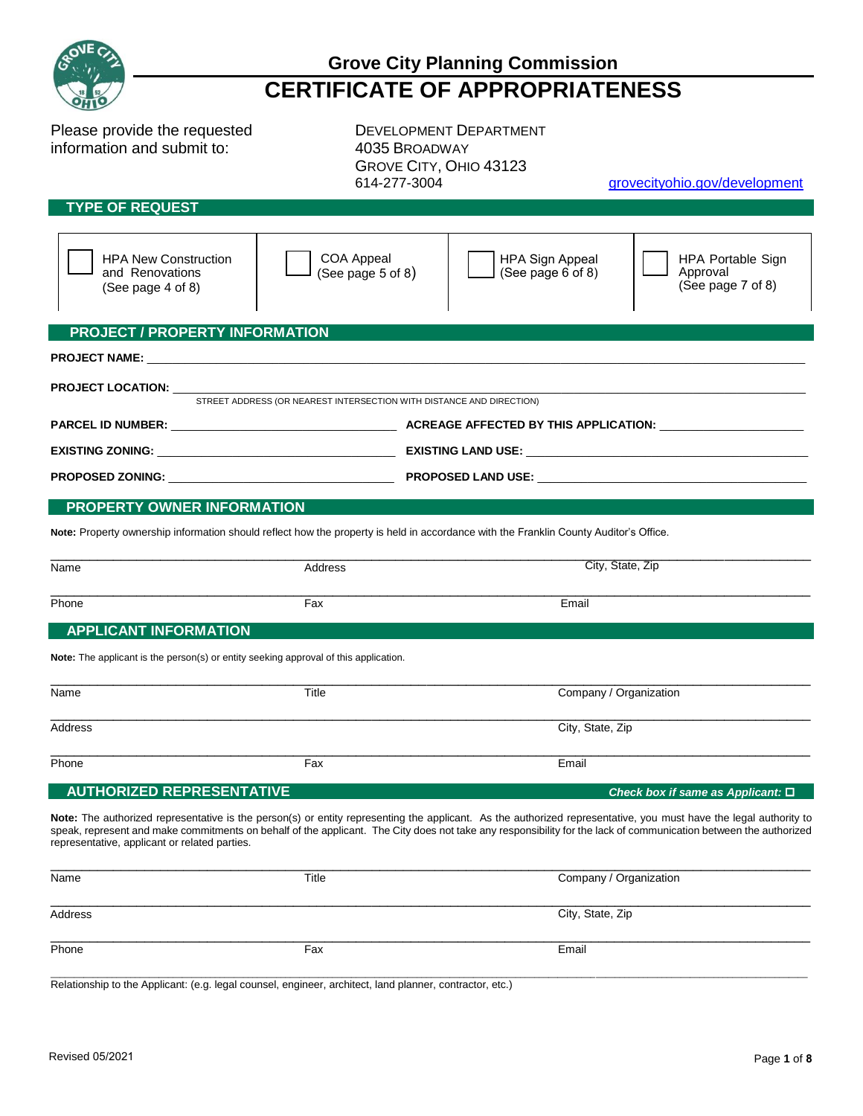| e |
|---|
|   |

Please provide the requested DEVELOPMENT DEPARTMENT information and submit to: 4035 BROADWAY

GROVE CITY, OHIO 43123 614-277-3004 grovecityohio.gov/development

### **TYPE OF REQUEST**

| <u>I THE OF REQUESI</u>                                                                                                                                                                                                                                                                                                                                                                |                                                                      |                                                                                                                                       |                                                    |  |
|----------------------------------------------------------------------------------------------------------------------------------------------------------------------------------------------------------------------------------------------------------------------------------------------------------------------------------------------------------------------------------------|----------------------------------------------------------------------|---------------------------------------------------------------------------------------------------------------------------------------|----------------------------------------------------|--|
|                                                                                                                                                                                                                                                                                                                                                                                        |                                                                      |                                                                                                                                       |                                                    |  |
| <b>HPA New Construction</b><br>and Renovations<br>(See page 4 of 8)                                                                                                                                                                                                                                                                                                                    | <b>COA Appeal</b><br>(See page $5$ of $8$ )                          | <b>HPA Sign Appeal</b><br>(See page $6$ of $8$ )                                                                                      | HPA Portable Sign<br>Approval<br>(See page 7 of 8) |  |
| <b>PROJECT / PROPERTY INFORMATION</b>                                                                                                                                                                                                                                                                                                                                                  |                                                                      |                                                                                                                                       |                                                    |  |
|                                                                                                                                                                                                                                                                                                                                                                                        |                                                                      |                                                                                                                                       |                                                    |  |
|                                                                                                                                                                                                                                                                                                                                                                                        |                                                                      |                                                                                                                                       |                                                    |  |
| <b>PROJECT LOCATION:</b>                                                                                                                                                                                                                                                                                                                                                               |                                                                      |                                                                                                                                       |                                                    |  |
|                                                                                                                                                                                                                                                                                                                                                                                        | STREET ADDRESS (OR NEAREST INTERSECTION WITH DISTANCE AND DIRECTION) |                                                                                                                                       |                                                    |  |
|                                                                                                                                                                                                                                                                                                                                                                                        |                                                                      |                                                                                                                                       |                                                    |  |
|                                                                                                                                                                                                                                                                                                                                                                                        |                                                                      |                                                                                                                                       |                                                    |  |
|                                                                                                                                                                                                                                                                                                                                                                                        |                                                                      |                                                                                                                                       |                                                    |  |
|                                                                                                                                                                                                                                                                                                                                                                                        |                                                                      |                                                                                                                                       |                                                    |  |
| PROPERTY OWNER INFORMATION                                                                                                                                                                                                                                                                                                                                                             |                                                                      |                                                                                                                                       |                                                    |  |
|                                                                                                                                                                                                                                                                                                                                                                                        |                                                                      | Note: Property ownership information should reflect how the property is held in accordance with the Franklin County Auditor's Office. |                                                    |  |
|                                                                                                                                                                                                                                                                                                                                                                                        |                                                                      |                                                                                                                                       |                                                    |  |
| Name                                                                                                                                                                                                                                                                                                                                                                                   | Address                                                              | City, State, Zip                                                                                                                      |                                                    |  |
| Phone                                                                                                                                                                                                                                                                                                                                                                                  | Fax                                                                  | Email                                                                                                                                 |                                                    |  |
| <b>APPLICANT INFORMATION</b>                                                                                                                                                                                                                                                                                                                                                           |                                                                      |                                                                                                                                       |                                                    |  |
|                                                                                                                                                                                                                                                                                                                                                                                        |                                                                      |                                                                                                                                       |                                                    |  |
| <b>Note:</b> The applicant is the person(s) or entity seeking approval of this application.                                                                                                                                                                                                                                                                                            |                                                                      |                                                                                                                                       |                                                    |  |
| Name                                                                                                                                                                                                                                                                                                                                                                                   | Title                                                                | Company / Organization                                                                                                                |                                                    |  |
|                                                                                                                                                                                                                                                                                                                                                                                        |                                                                      |                                                                                                                                       |                                                    |  |
| <b>Address</b>                                                                                                                                                                                                                                                                                                                                                                         |                                                                      | City, State, Zip                                                                                                                      |                                                    |  |
|                                                                                                                                                                                                                                                                                                                                                                                        |                                                                      |                                                                                                                                       |                                                    |  |
| Phone                                                                                                                                                                                                                                                                                                                                                                                  | Fax                                                                  | Email                                                                                                                                 |                                                    |  |
| <b>AUTHORIZED REPRESENTATIVE</b>                                                                                                                                                                                                                                                                                                                                                       |                                                                      |                                                                                                                                       | Check box if same as Applicant: □                  |  |
| Note: The authorized representative is the person(s) or entity representing the applicant. As the authorized representative, you must have the legal authority to<br>speak, represent and make commitments on behalf of the applicant. The City does not take any responsibility for the lack of communication between the authorized<br>representative, applicant or related parties. |                                                                      |                                                                                                                                       |                                                    |  |

| Name    | Title | Company / Organization |
|---------|-------|------------------------|
|         |       |                        |
| Address |       | City, State, Zip       |
|         |       |                        |
| Phone   | Fax   | Email                  |
|         |       |                        |

\_\_\_\_\_\_\_\_\_\_\_\_\_\_\_\_\_\_\_\_\_\_\_\_\_\_\_\_\_\_\_\_\_\_\_\_\_\_\_\_\_\_\_\_\_\_\_\_\_\_\_\_\_\_\_\_\_\_\_\_\_\_\_\_\_\_\_\_\_\_\_\_\_\_\_\_\_\_\_\_\_\_\_\_\_\_\_\_\_\_\_\_\_\_\_\_\_\_\_\_\_\_\_\_\_\_\_\_\_\_\_\_\_\_\_\_\_\_\_\_\_\_\_\_\_\_\_\_\_\_\_\_\_\_\_\_\_\_\_\_\_\_\_\_\_\_\_\_\_\_\_\_\_\_\_\_\_\_\_\_\_ Relationship to the Applicant: (e.g. legal counsel, engineer, architect, land planner, contractor, etc.)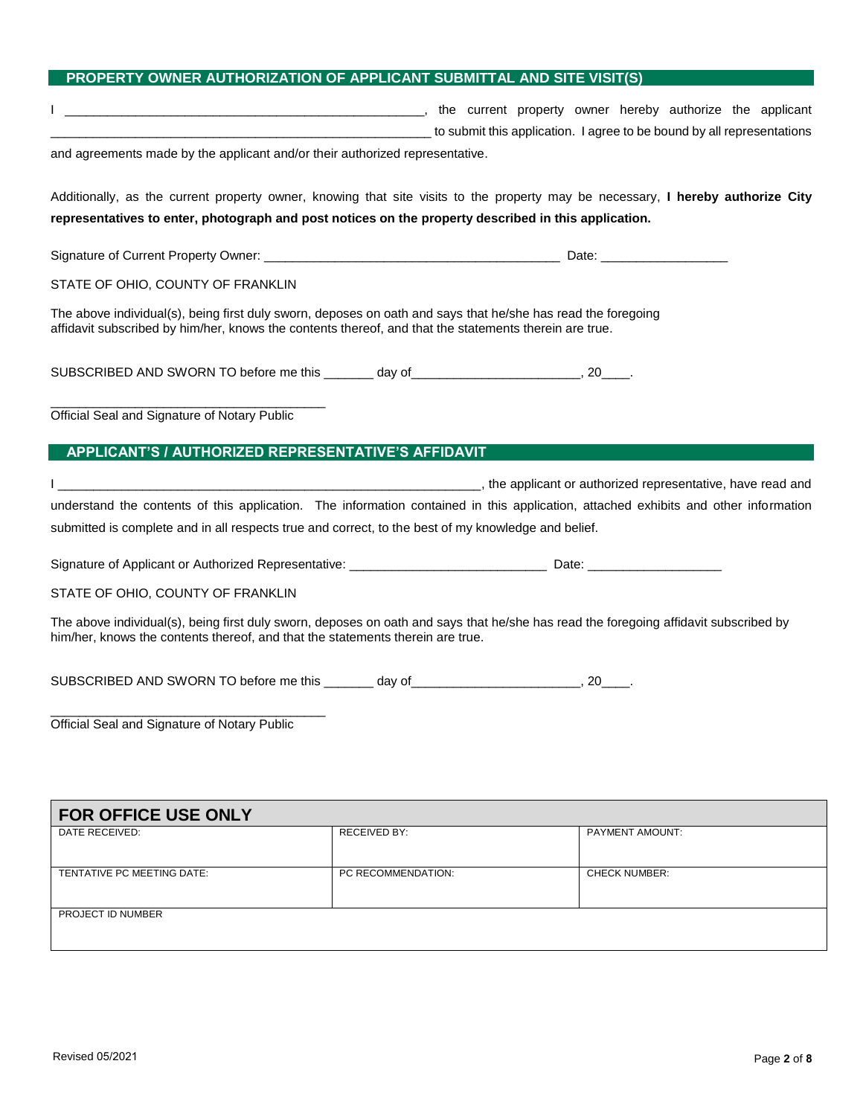### **PROPERTY OWNER AUTHORIZATION OF APPLICANT SUBMITTAL AND SITE VISIT(S)**

|                                                                                                                                                                                                                        |                     | the current property owner hereby authorize the applicant (in the current property owner hereby authorize the applicant<br>to submit this application. I agree to be bound by all representations (and the submit this application. I agree to be bound by all representations |
|------------------------------------------------------------------------------------------------------------------------------------------------------------------------------------------------------------------------|---------------------|--------------------------------------------------------------------------------------------------------------------------------------------------------------------------------------------------------------------------------------------------------------------------------|
| and agreements made by the applicant and/or their authorized representative.                                                                                                                                           |                     |                                                                                                                                                                                                                                                                                |
| representatives to enter, photograph and post notices on the property described in this application.                                                                                                                   |                     | Additionally, as the current property owner, knowing that site visits to the property may be necessary, I hereby authorize City                                                                                                                                                |
|                                                                                                                                                                                                                        |                     |                                                                                                                                                                                                                                                                                |
|                                                                                                                                                                                                                        |                     |                                                                                                                                                                                                                                                                                |
| STATE OF OHIO, COUNTY OF FRANKLIN                                                                                                                                                                                      |                     |                                                                                                                                                                                                                                                                                |
| The above individual(s), being first duly sworn, deposes on oath and says that he/she has read the foregoing<br>affidavit subscribed by him/her, knows the contents thereof, and that the statements therein are true. |                     |                                                                                                                                                                                                                                                                                |
| SUBSCRIBED AND SWORN TO before me this _______ day of __________________________, 20____.                                                                                                                              |                     |                                                                                                                                                                                                                                                                                |
| Official Seal and Signature of Notary Public                                                                                                                                                                           |                     |                                                                                                                                                                                                                                                                                |
| APPLICANT'S / AUTHORIZED REPRESENTATIVE'S AFFIDAVIT                                                                                                                                                                    |                     |                                                                                                                                                                                                                                                                                |
|                                                                                                                                                                                                                        |                     | the applicant or authorized representative, have read and intervals and intervals and intervals are read and                                                                                                                                                                   |
|                                                                                                                                                                                                                        |                     | understand the contents of this application. The information contained in this application, attached exhibits and other information                                                                                                                                            |
| submitted is complete and in all respects true and correct, to the best of my knowledge and belief.                                                                                                                    |                     |                                                                                                                                                                                                                                                                                |
|                                                                                                                                                                                                                        |                     |                                                                                                                                                                                                                                                                                |
| STATE OF OHIO, COUNTY OF FRANKLIN                                                                                                                                                                                      |                     |                                                                                                                                                                                                                                                                                |
| him/her, knows the contents thereof, and that the statements therein are true.                                                                                                                                         |                     | The above individual(s), being first duly sworn, deposes on oath and says that he/she has read the foregoing affidavit subscribed by                                                                                                                                           |
| SUBSCRIBED AND SWORN TO before me this ________ day of __________________________, 20____.                                                                                                                             |                     |                                                                                                                                                                                                                                                                                |
| Official Seal and Signature of Notary Public                                                                                                                                                                           |                     |                                                                                                                                                                                                                                                                                |
|                                                                                                                                                                                                                        |                     |                                                                                                                                                                                                                                                                                |
| <b>FOR OFFICE USE ONLY</b>                                                                                                                                                                                             |                     |                                                                                                                                                                                                                                                                                |
| DATE RECEIVED:                                                                                                                                                                                                         | <b>RECEIVED BY:</b> | PAYMENT AMOUNT:                                                                                                                                                                                                                                                                |
| TENTATIVE PC MEETING DATE:                                                                                                                                                                                             | PC RECOMMENDATION:  | <b>CHECK NUMBER:</b>                                                                                                                                                                                                                                                           |

PROJECT ID NUMBER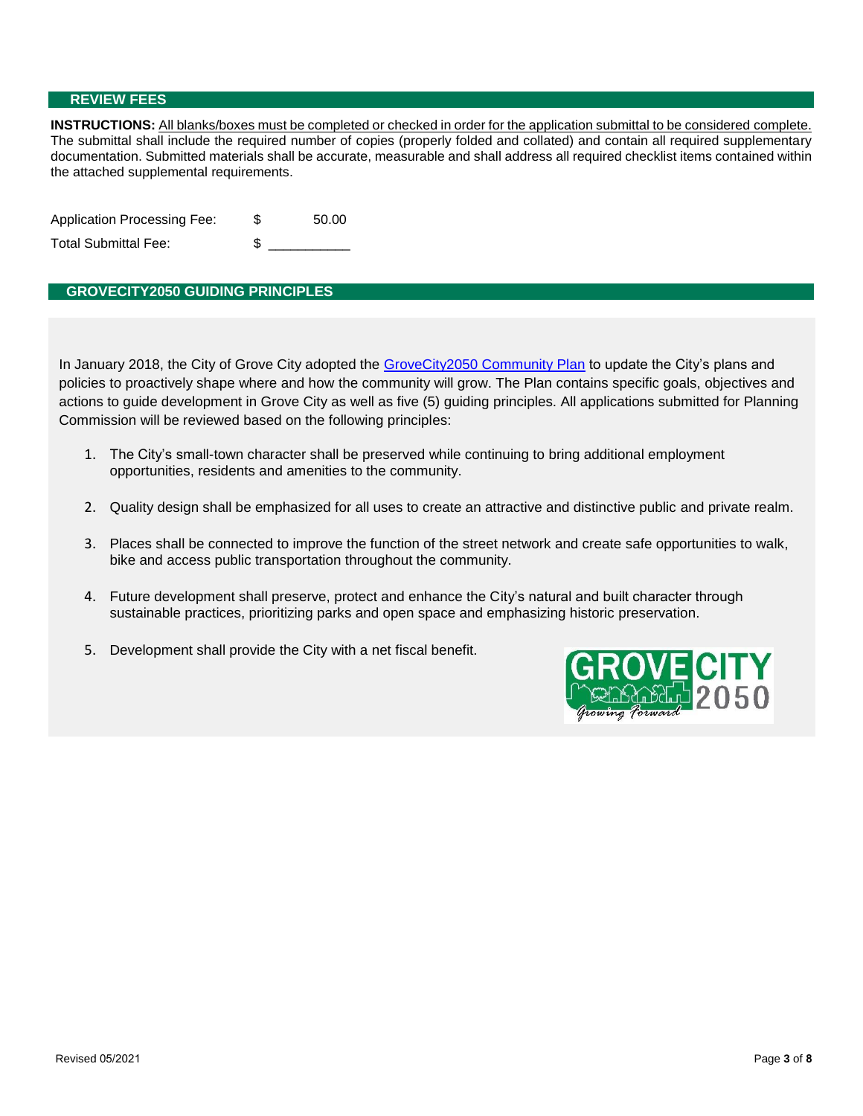#### **REVIEW FEES**

**INSTRUCTIONS:** All blanks/boxes must be completed or checked in order for the application submittal to be considered complete. The submittal shall include the required number of copies (properly folded and collated) and contain all required supplementary documentation. Submitted materials shall be accurate, measurable and shall address all required checklist items contained within the attached supplemental requirements.

| Application Processing Fee: | 50.00 |
|-----------------------------|-------|
| Total Submittal Fee:        |       |

#### **GROVECITY2050 GUIDING PRINCIPLES**

In January 2018, the City of Grove City adopted the [GroveCity2050 Community Plan](file://///WFS01/Development/ADMINISTRATIVE%20FILES/1%20-%20COMMUNITY%20DEVELOPMENT/GroveCity2050/1%20-%20FINAL%20PLAN/2018-01-19_COUNCIL_APPROVED.pdf) to update the City's plans and policies to proactively shape where and how the community will grow. The Plan contains specific goals, objectives and actions to guide development in Grove City as well as five (5) guiding principles. All applications submitted for Planning Commission will be reviewed based on the following principles:

- 1. The City's small-town character shall be preserved while continuing to bring additional employment opportunities, residents and amenities to the community.
- 2. Quality design shall be emphasized for all uses to create an attractive and distinctive public and private realm.
- 3. Places shall be connected to improve the function of the street network and create safe opportunities to walk, bike and access public transportation throughout the community.
- 4. Future development shall preserve, protect and enhance the City's natural and built character through sustainable practices, prioritizing parks and open space and emphasizing historic preservation.
- 5. Development shall provide the City with a net fiscal benefit.

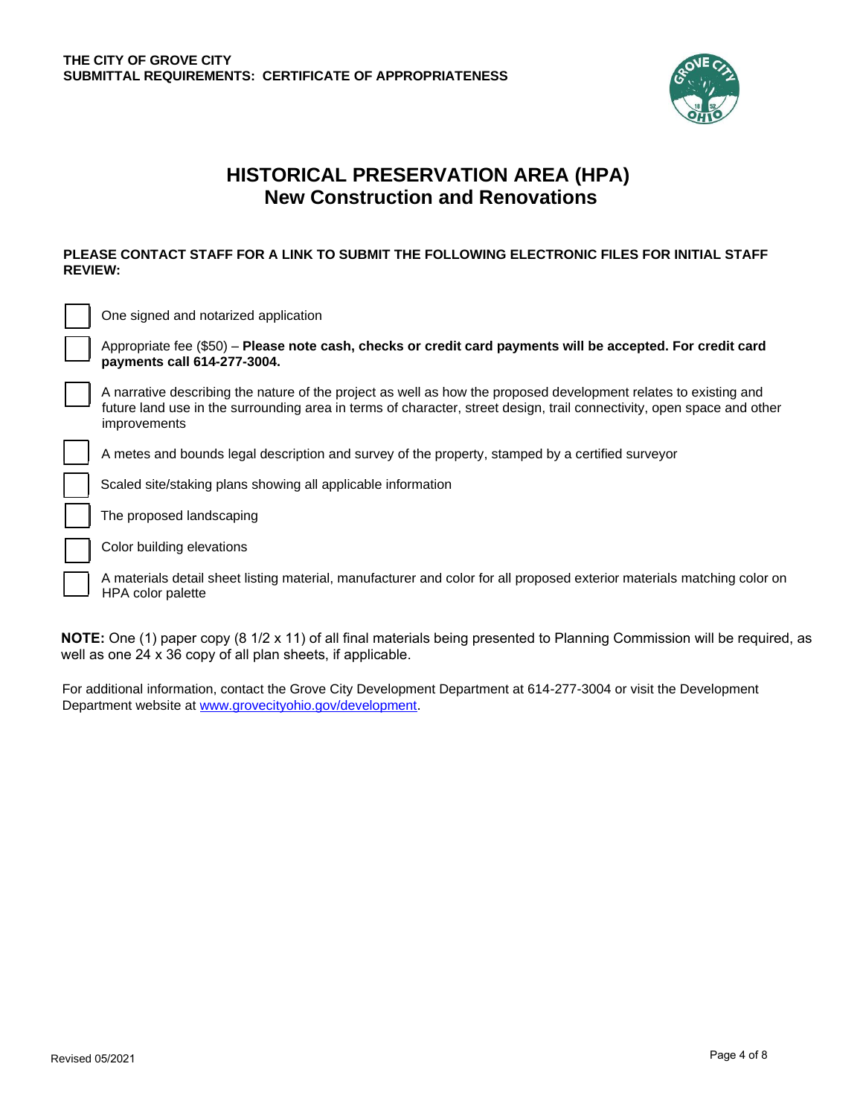

### **HISTORICAL PRESERVATION AREA (HPA) New Construction and Renovations**

#### **PLEASE CONTACT STAFF FOR A LINK TO SUBMIT THE FOLLOWING ELECTRONIC FILES FOR INITIAL STAFF REVIEW:**

| One signed and notarized application                                                                                                                                                                                                                       |
|------------------------------------------------------------------------------------------------------------------------------------------------------------------------------------------------------------------------------------------------------------|
| Appropriate fee (\$50) - Please note cash, checks or credit card payments will be accepted. For credit card<br>payments call 614-277-3004.                                                                                                                 |
| A narrative describing the nature of the project as well as how the proposed development relates to existing and<br>future land use in the surrounding area in terms of character, street design, trail connectivity, open space and other<br>improvements |
| A metes and bounds legal description and survey of the property, stamped by a certified surveyor                                                                                                                                                           |
| Scaled site/staking plans showing all applicable information                                                                                                                                                                                               |
| The proposed landscaping                                                                                                                                                                                                                                   |
| Color building elevations                                                                                                                                                                                                                                  |
| A materials detail sheet listing material, manufacturer and color for all proposed exterior materials matching color on<br><b>HPA</b> color palette                                                                                                        |

**NOTE:** One (1) paper copy (8 1/2 x 11) of all final materials being presented to Planning Commission will be required, as well as one 24 x 36 copy of all plan sheets, if applicable.

For additional information, contact the Grove City Development Department at 614-277-3004 or visit the Development Department website at [www.grovecityohio.gov/development](http://www.grovecityohio.gov/development).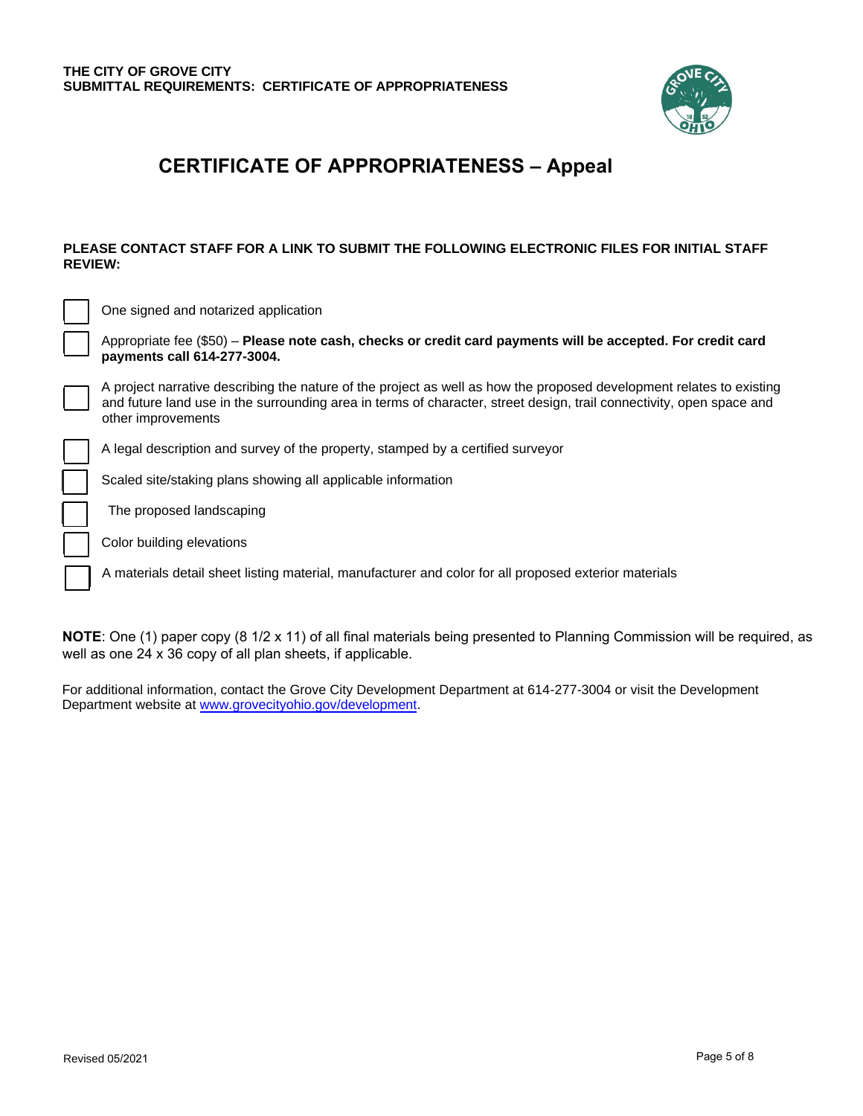

## **CERTIFICATE OF APPROPRIATENESS – Appeal**

#### **PLEASE CONTACT STAFF FOR A LINK TO SUBMIT THE FOLLOWING ELECTRONIC FILES FOR INITIAL STAFF REVIEW:**

| One signed and notarized application                                                                                                                                                                                                                               |
|--------------------------------------------------------------------------------------------------------------------------------------------------------------------------------------------------------------------------------------------------------------------|
| Appropriate fee (\$50) – Please note cash, checks or credit card payments will be accepted. For credit card<br>payments call 614-277-3004.                                                                                                                         |
| A project narrative describing the nature of the project as well as how the proposed development relates to existing<br>and future land use in the surrounding area in terms of character, street design, trail connectivity, open space and<br>other improvements |
| A legal description and survey of the property, stamped by a certified surveyor                                                                                                                                                                                    |
| Scaled site/staking plans showing all applicable information                                                                                                                                                                                                       |
| The proposed landscaping                                                                                                                                                                                                                                           |
| Color building elevations                                                                                                                                                                                                                                          |
| A materials detail sheet listing material, manufacturer and color for all proposed exterior materials                                                                                                                                                              |

**NOTE**: One (1) paper copy (8 1/2 x 11) of all final materials being presented to Planning Commission will be required, as well as one 24 x 36 copy of all plan sheets, if applicable.

For additional information, contact the Grove City Development Department at 614-277-3004 or visit the Development Department website at www.grovecityohio.gov/development.

l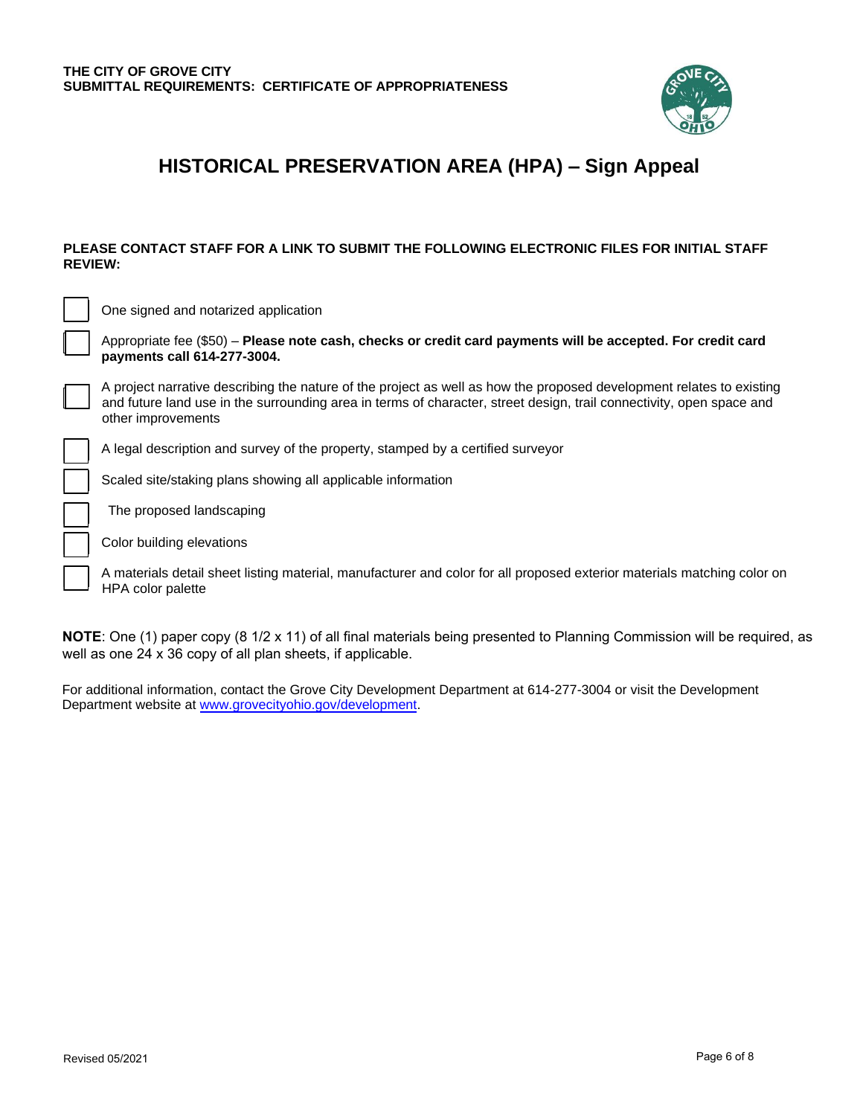

# **HISTORICAL PRESERVATION AREA (HPA) – Sign Appeal**

#### **PLEASE CONTACT STAFF FOR A LINK TO SUBMIT THE FOLLOWING ELECTRONIC FILES FOR INITIAL STAFF REVIEW:**

| One signed and notarized application                                                                                                                                                                                                                               |
|--------------------------------------------------------------------------------------------------------------------------------------------------------------------------------------------------------------------------------------------------------------------|
| Appropriate fee (\$50) - Please note cash, checks or credit card payments will be accepted. For credit card<br>payments call 614-277-3004.                                                                                                                         |
| A project narrative describing the nature of the project as well as how the proposed development relates to existing<br>and future land use in the surrounding area in terms of character, street design, trail connectivity, open space and<br>other improvements |
| A legal description and survey of the property, stamped by a certified surveyor                                                                                                                                                                                    |
| Scaled site/staking plans showing all applicable information                                                                                                                                                                                                       |
| The proposed landscaping                                                                                                                                                                                                                                           |
| Color building elevations                                                                                                                                                                                                                                          |
| A materials detail sheet listing material, manufacturer and color for all proposed exterior materials matching color on<br><b>HPA</b> color palette                                                                                                                |

**NOTE**: One (1) paper copy (8 1/2 x 11) of all final materials being presented to Planning Commission will be required, as well as one 24 x 36 copy of all plan sheets, if applicable.

For additional information, contact the Grove City Development Department at 614-277-3004 or visit the Development Department website at [www.grovecityohio.gov/development.](http://www.grovecityohio.gov/development)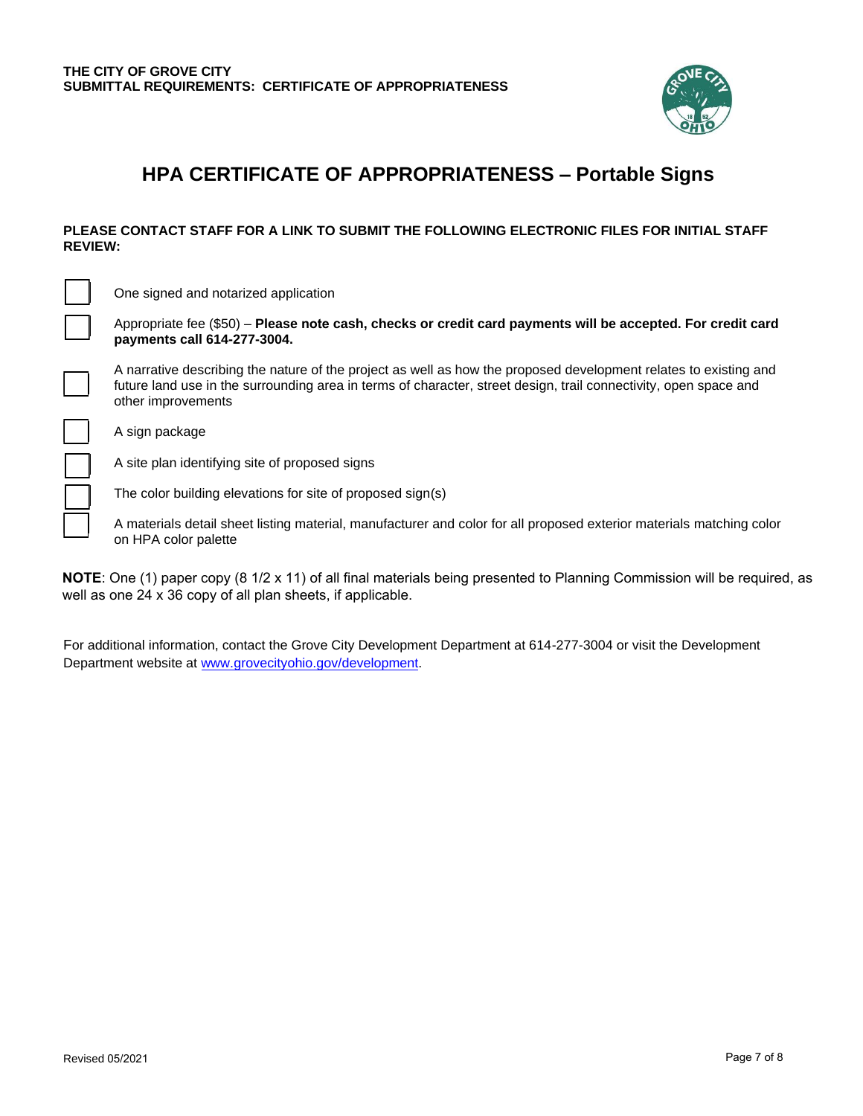

### **HPA CERTIFICATE OF APPROPRIATENESS – Portable Signs**

#### **PLEASE CONTACT STAFF FOR A LINK TO SUBMIT THE FOLLOWING ELECTRONIC FILES FOR INITIAL STAFF REVIEW:**

One signed and notarized application

Appropriate fee (\$50) – **Please note cash, checks or credit card payments will be accepted. For credit card payments call 614-277-3004.**

A narrative describing the nature of the project as well as how the proposed development relates to existing and future land use in the surrounding area in terms of character, street design, trail connectivity, open space and other improvements

A sign package

A site plan identifying site of proposed signs

The color building elevations for site of proposed sign(s)

A materials detail sheet listing material, manufacturer and color for all proposed exterior materials matching color on HPA color palette

**NOTE**: One (1) paper copy (8 1/2 x 11) of all final materials being presented to Planning Commission will be required, as well as one 24 x 36 copy of all plan sheets, if applicable.

For additional informat[ion, contact the Grove City Developme](http://www.grovecityohio.gov/development)nt Department at 614-277-3004 or visit the Development Department website at www.grovecityohio.gov/development.